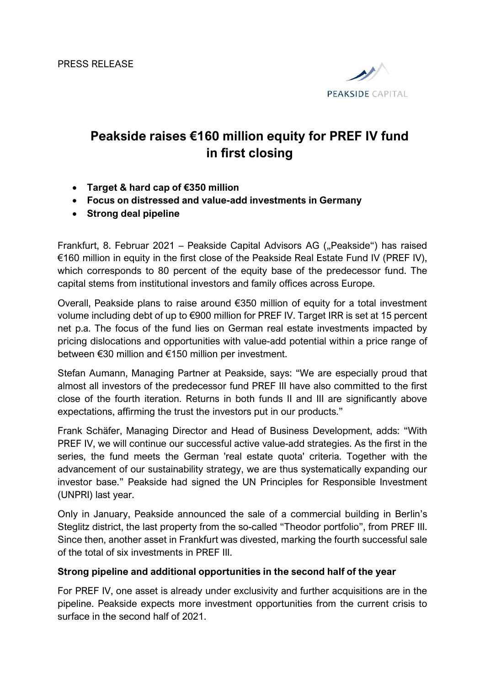

## Peakside raises €160 million equity for PREF IV fund in first closing

- Target & hard cap of €350 million
- Focus on distressed and value-add investments in Germany
- Strong deal pipeline

Frankfurt, 8. Februar 2021 – Peakside Capital Advisors AG ("Peakside") has raised €160 million in equity in the first close of the Peakside Real Estate Fund IV (PREF IV), which corresponds to 80 percent of the equity base of the predecessor fund. The capital stems from institutional investors and family offices across Europe.

Overall, Peakside plans to raise around €350 million of equity for a total investment volume including debt of up to €900 million for PREF IV. Target IRR is set at 15 percent net p.a. The focus of the fund lies on German real estate investments impacted by pricing dislocations and opportunities with value-add potential within a price range of between €30 million and €150 million per investment.

Stefan Aumann, Managing Partner at Peakside, says: "We are especially proud that almost all investors of the predecessor fund PREF III have also committed to the first close of the fourth iteration. Returns in both funds II and III are significantly above expectations, affirming the trust the investors put in our products."

Frank Schäfer, Managing Director and Head of Business Development, adds: "With PREF IV, we will continue our successful active value-add strategies. As the first in the series, the fund meets the German 'real estate quota' criteria. Together with the advancement of our sustainability strategy, we are thus systematically expanding our investor base." Peakside had signed the UN Principles for Responsible Investment (UNPRI) last year.

Only in January, Peakside announced the sale of a commercial building in Berlin's Steglitz district, the last property from the so-called "Theodor portfolio", from PREF III. Since then, another asset in Frankfurt was divested, marking the fourth successful sale of the total of six investments in PREF III.

## Strong pipeline and additional opportunities in the second half of the year

For PREF IV, one asset is already under exclusivity and further acquisitions are in the pipeline. Peakside expects more investment opportunities from the current crisis to surface in the second half of 2021.